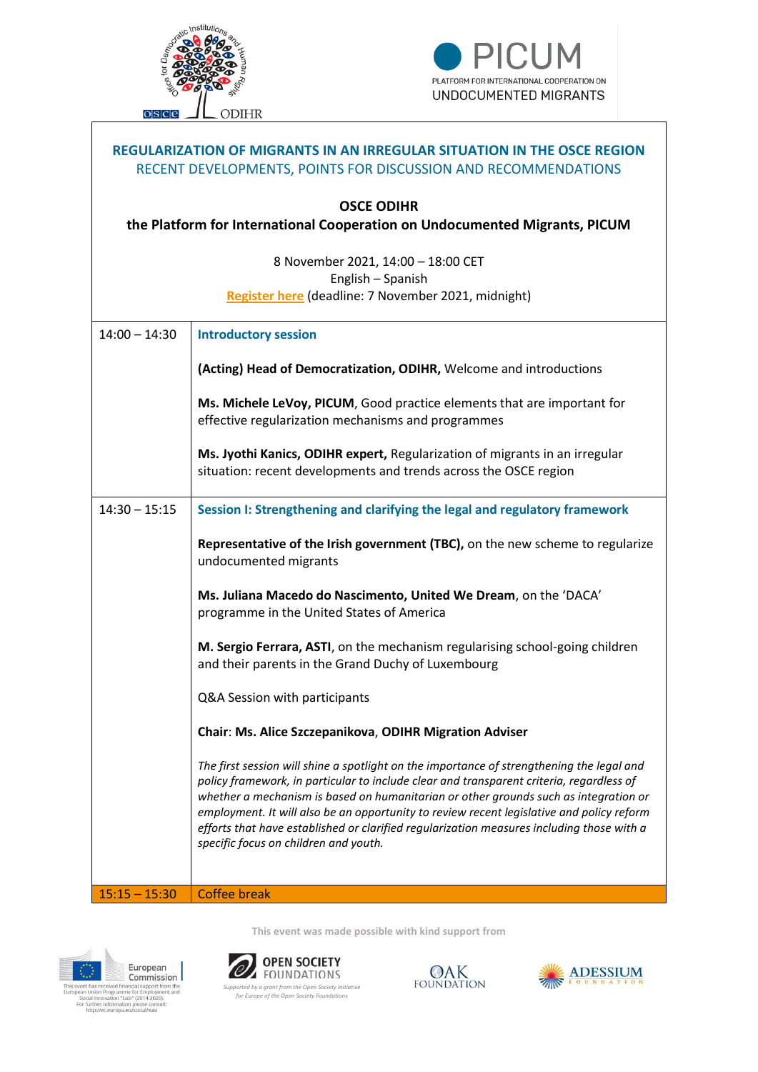

 $\overline{\phantom{a}}$ 



| <b>REGULARIZATION OF MIGRANTS IN AN IRREGULAR SITUATION IN THE OSCE REGION</b><br>RECENT DEVELOPMENTS, POINTS FOR DISCUSSION AND RECOMMENDATIONS |                                                                                                                                                                                                                                                                                                                                                                                                                                                                                                                  |  |
|--------------------------------------------------------------------------------------------------------------------------------------------------|------------------------------------------------------------------------------------------------------------------------------------------------------------------------------------------------------------------------------------------------------------------------------------------------------------------------------------------------------------------------------------------------------------------------------------------------------------------------------------------------------------------|--|
| <b>OSCE ODIHR</b><br>the Platform for International Cooperation on Undocumented Migrants, PICUM                                                  |                                                                                                                                                                                                                                                                                                                                                                                                                                                                                                                  |  |
| 8 November 2021, 14:00 - 18:00 CET<br>English - Spanish<br>Register here (deadline: 7 November 2021, midnight)                                   |                                                                                                                                                                                                                                                                                                                                                                                                                                                                                                                  |  |
| $14:00 - 14:30$                                                                                                                                  | <b>Introductory session</b>                                                                                                                                                                                                                                                                                                                                                                                                                                                                                      |  |
|                                                                                                                                                  | (Acting) Head of Democratization, ODIHR, Welcome and introductions                                                                                                                                                                                                                                                                                                                                                                                                                                               |  |
|                                                                                                                                                  | Ms. Michele LeVoy, PICUM, Good practice elements that are important for<br>effective regularization mechanisms and programmes                                                                                                                                                                                                                                                                                                                                                                                    |  |
|                                                                                                                                                  | Ms. Jyothi Kanics, ODIHR expert, Regularization of migrants in an irregular<br>situation: recent developments and trends across the OSCE region                                                                                                                                                                                                                                                                                                                                                                  |  |
| $14:30 - 15:15$                                                                                                                                  | Session I: Strengthening and clarifying the legal and regulatory framework                                                                                                                                                                                                                                                                                                                                                                                                                                       |  |
|                                                                                                                                                  | Representative of the Irish government (TBC), on the new scheme to regularize<br>undocumented migrants                                                                                                                                                                                                                                                                                                                                                                                                           |  |
|                                                                                                                                                  | Ms. Juliana Macedo do Nascimento, United We Dream, on the 'DACA'<br>programme in the United States of America                                                                                                                                                                                                                                                                                                                                                                                                    |  |
|                                                                                                                                                  | M. Sergio Ferrara, ASTI, on the mechanism regularising school-going children<br>and their parents in the Grand Duchy of Luxembourg                                                                                                                                                                                                                                                                                                                                                                               |  |
|                                                                                                                                                  | Q&A Session with participants                                                                                                                                                                                                                                                                                                                                                                                                                                                                                    |  |
|                                                                                                                                                  | Chair: Ms. Alice Szczepanikova, ODIHR Migration Adviser                                                                                                                                                                                                                                                                                                                                                                                                                                                          |  |
|                                                                                                                                                  | The first session will shine a spotlight on the importance of strengthening the legal and<br>policy framework, in particular to include clear and transparent criteria, regardless of<br>whether a mechanism is based on humanitarian or other grounds such as integration or<br>employment. It will also be an opportunity to review recent legislative and policy reform<br>efforts that have established or clarified regularization measures including those with a<br>specific focus on children and youth. |  |
| $15:15 - 15:30$                                                                                                                                  | <b>Coffee break</b>                                                                                                                                                                                                                                                                                                                                                                                                                                                                                              |  |
|                                                                                                                                                  |                                                                                                                                                                                                                                                                                                                                                                                                                                                                                                                  |  |

**This event was made possible with kind support from**



**a** *Supported framcial support from the Open Society Initiative <b>A <i>Supported by a grant from the Open Society Initiative initiative <br> <i>Supported by a grant from the Open Society Foundations <br>
<i>for Europe of the Ope*